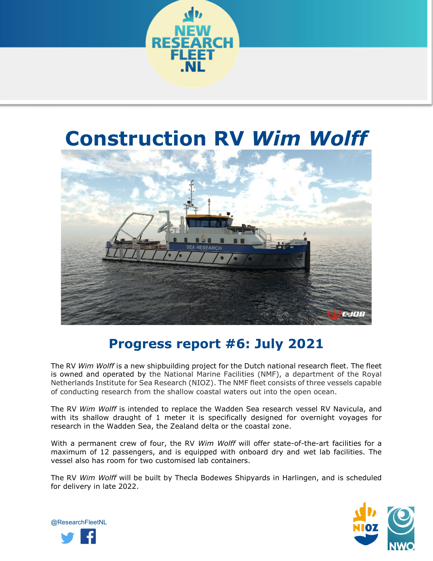

# **Construction RV** *Wim Wolff*



# **Progress report #6: July 2021**

The RV *Wim Wolff* is a new shipbuilding project for the Dutch national research fleet. The fleet is owned and operated by the National Marine Facilities (NMF), a department of the Royal Netherlands Institute for Sea Research (NIOZ). The NMF fleet consists of three vessels capable of conducting research from the shallow coastal waters out into the open ocean.

The RV *Wim Wolff* is intended to replace the Wadden Sea research vessel RV Navicula, and with its shallow draught of 1 meter it is specifically designed for overnight voyages for research in the Wadden Sea, the Zealand delta or the coastal zone.

With a permanent crew of four, the RV *Wim Wolff* will offer state-of-the-art facilities for a maximum of 12 passengers, and is equipped with onboard dry and wet lab facilities. The vessel also has room for two customised lab containers.

The RV *Wim Wolff* will be built by Thecla Bodewes Shipyards in Harlingen, and is scheduled for delivery in late 2022.



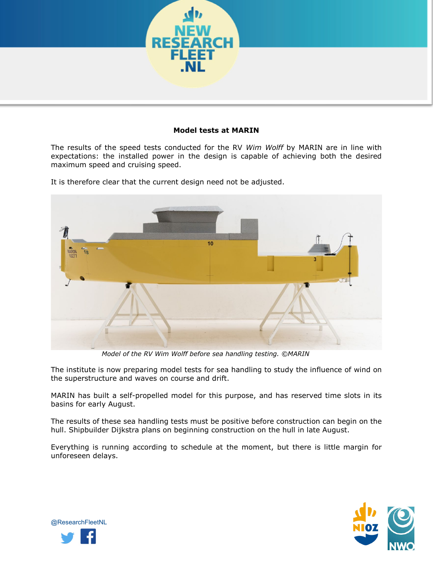

## **Model tests at MARIN**

The results of the speed tests conducted for the RV *Wim Wolff* by MARIN are in line with expectations: the installed power in the design is capable of achieving both the desired maximum speed and cruising speed.

It is therefore clear that the current design need not be adjusted.



*Model of the RV Wim Wolff before sea handling testing. ©MARIN*

The institute is now preparing model tests for sea handling to study the influence of wind on the superstructure and waves on course and drift.

MARIN has built a self-propelled model for this purpose, and has reserved time slots in its basins for early August.

The results of these sea handling tests must be positive before construction can begin on the hull. Shipbuilder Dijkstra plans on beginning construction on the hull in late August.

Everything is running according to schedule at the moment, but there is little margin for unforeseen delays.



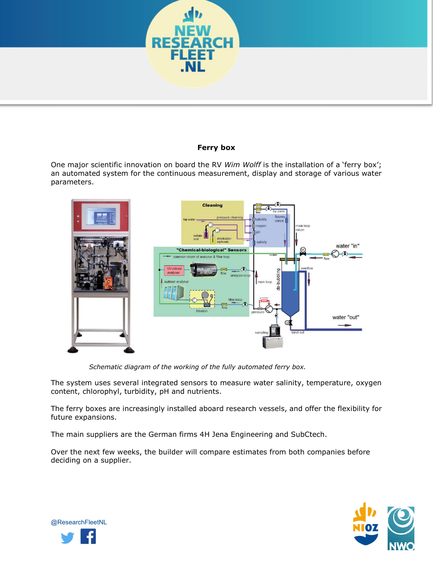

### **Ferry box**

One major scientific innovation on board the RV *Wim Wolff* is the installation of a 'ferry box'; an automated system for the continuous measurement, display and storage of various water parameters.



*Schematic diagram of the working of the fully automated ferry box.*

The system uses several integrated sensors to measure water salinity, temperature, oxygen content, chlorophyl, turbidity, pH and nutrients.

The ferry boxes are increasingly installed aboard research vessels, and offer the flexibility for future expansions.

The main suppliers are the German firms 4H Jena Engineering and SubCtech.

Over the next few weeks, the builder will compare estimates from both companies before deciding on a supplier.